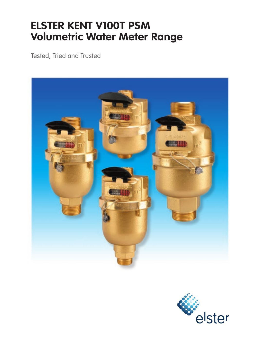# **ELSTER KENT V100T PSM Volumetric Water Meter Range**

Tested, Tried and Trusted



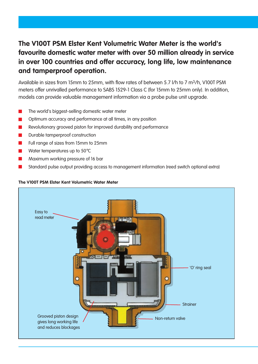## **The V100T PSM Elster Kent Volumetric Water Meter is the world's favourite domestic water meter with over 50 million already in service in over 100 countries and offer accuracy, long life, low maintenance and tamperproof operation.**

Available in sizes from 15mm to 25mm, with flow rates of between 5.7 l/h to 7 m3/h, V100T PSM meters offer unrivalled performance to SABS 1529-1 Class C (for 15mm to 25mm only). In addition, models can provide valuable management information via a probe pulse unit upgrade.

- The world's biggest-selling domestic water meter
- Optimum accuracy and performance at all times, in any position
- Revolutionary grooved piston for improved durability and performance
- $\overline{\phantom{a}}$ Durable tamperproof construction
- Full range of sizes from 15mm to 25mm
- Water temperatures up to 50°C
- Maximum working pressure of 16 bar
- Standard pulse output providing access to management information (reed switch optional extra)

### **The V100T PSM Elster Kent Volumetric Water Meter**

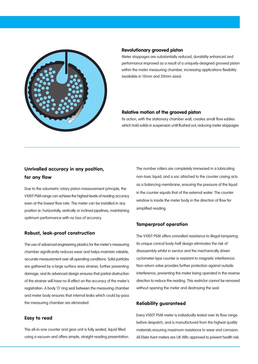

#### **Revolutionary grooved piston**

Meter stoppages are substantially reduced, durability enhanced and performance improved as a result of a uniquely-designed grooved piston within the meter measuring chamber, increasing applications flexibility. (available in 15mm and 20mm sizes)

#### **Relative motion of the grooved piston**

Its action, with the stationary chamber wall, creates small flow eddies which hold solids in suspension until flushed out, reducing meter stoppages

## **Unrivalled accuracy in any position, for any flow**

Due to the volumetric rotary piston measurement principle, the V100T PSM range can achieve the highest levels of reading accuracy even at the lowest flow rate. The meter can be installed in any position ie: horizontally, vertically or inclined pipelines, maintaining optimum performance with no loss of accuracy.

#### **Robust, leak-proof construction**

The use of advanced engineering plastics for the meter's measuring chamber significantly reduces wear and helps maintain reliable, accurate measurement over all operating conditions. Solid particles are gathered by a large surface area strainer, further preventing damage; and its advanced design ensures that partial obstruction of the strainer will have no ill effect on the accuracy of the meter's registration. A body 'O' ring seal between the measuring chamber and meter body ensures that internal leaks which could by-pass the measuring chamber are eliminated.

#### **Easy to read**

The all-in-one counter and gear unit is fully sealed, liquid filled using a vacuum and offers simple, straight-reading presentation. The number rollers are completely immersed in a lubricating non-toxic liquid, and a sac attached to the counter casing acts as a balancing membrane, ensuring the pressure of the liquid in the counter equals that of the external water. The counter window is inside the meter body in the direction of flow for simplified reading.

#### **Tamperproof operation**

The V100T PSM offers unrivalled resistance to illegal tampering: its unique conical body-half design eliminates the risk of disassembly whilst in service and the mechanically driven cyclometer-type counter is resistant to magnetic interference. Non-return valve provides further protection against outside interference, preventing the meter being operated in the reverse direction to reduce the reading. This restrictor cannot be removed without opening the meter and destroying the seal.

#### **Reliability guaranteed**

Every V100T PSM meter is individually tested over its flow range before despatch, and is manufactured from the highest quality materials ensuring maximum resistance to wear and corrosion. All Elster Kent meters are UK WRc approved to prevent health risk.